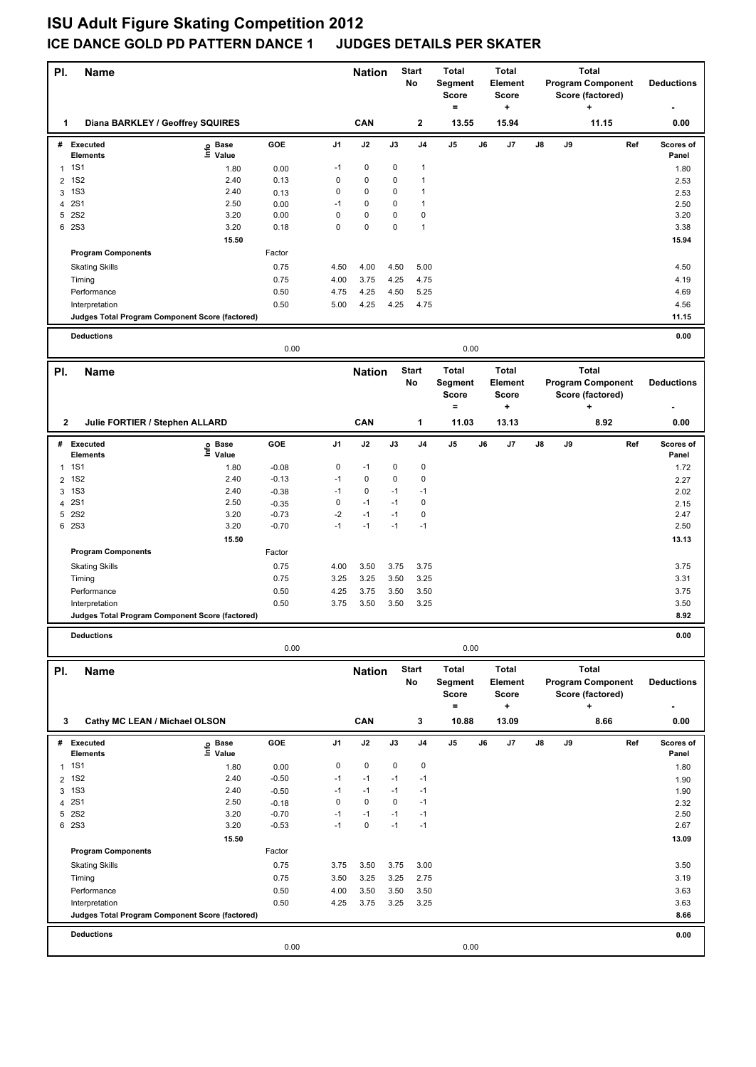## **ISU Adult Figure Skating Competition 2012 ICE DANCE GOLD PD PATTERN DANCE 1 JUDGES DETAILS PER SKATER**

| PI.            | <b>Name</b>                                     |                   |                    | <b>Nation</b> |                                     |                    | <b>Start</b><br>No                             | <b>Total</b><br>Segment<br><b>Score</b><br>= |         | <b>Total</b><br>Element<br><b>Score</b><br>٠ |    | <b>Total</b><br><b>Program Component</b><br>Score (factored)<br>÷ |                   |     | <b>Deductions</b><br>٠ |
|----------------|-------------------------------------------------|-------------------|--------------------|---------------|-------------------------------------|--------------------|------------------------------------------------|----------------------------------------------|---------|----------------------------------------------|----|-------------------------------------------------------------------|-------------------|-----|------------------------|
| 1              | Diana BARKLEY / Geoffrey SQUIRES                |                   |                    |               | CAN                                 |                    | $\mathbf 2$                                    | 13.55                                        |         | 15.94                                        |    |                                                                   | 11.15             |     | 0.00                   |
|                | # Executed<br><b>Elements</b>                   | e Base<br>⊑ Value | GOE                | J1            | J2                                  | J3                 | J <sub>4</sub>                                 | $\mathsf{J}5$                                | J6      | J7                                           | J8 | J9                                                                |                   | Ref | Scores of<br>Panel     |
|                | 1 1S1                                           | 1.80              | 0.00               | -1            | 0                                   | 0                  | 1                                              |                                              |         |                                              |    |                                                                   |                   |     | 1.80                   |
| 2              | <b>1S2</b>                                      | 2.40              | 0.13               | 0             | $\pmb{0}$                           | 0                  | $\mathbf{1}$                                   |                                              |         |                                              |    |                                                                   |                   |     | 2.53                   |
| 3              | <b>1S3</b>                                      | 2.40              | 0.13               | 0             | $\pmb{0}$                           | 0                  | 1                                              |                                              |         |                                              |    |                                                                   |                   |     | 2.53                   |
| 4              | <b>2S1</b><br>5 2S2                             | 2.50<br>3.20      | 0.00<br>0.00       | $-1$<br>0     | 0<br>$\pmb{0}$                      | 0<br>0             | 1<br>$\mathbf 0$                               |                                              |         |                                              |    |                                                                   |                   |     | 2.50                   |
|                | 6 2S3                                           | 3.20              | 0.18               | 0             | $\pmb{0}$                           | 0                  | $\mathbf{1}$                                   |                                              |         |                                              |    |                                                                   |                   |     | 3.20<br>3.38           |
|                |                                                 | 15.50             |                    |               |                                     |                    |                                                |                                              |         |                                              |    |                                                                   |                   |     |                        |
|                | <b>Program Components</b>                       |                   |                    |               |                                     |                    |                                                |                                              |         |                                              |    |                                                                   |                   |     | 15.94                  |
|                |                                                 |                   | Factor             |               |                                     |                    |                                                |                                              |         |                                              |    |                                                                   |                   |     |                        |
|                | <b>Skating Skills</b>                           |                   | 0.75               | 4.50          | 4.00                                | 4.50               | 5.00                                           |                                              |         |                                              |    |                                                                   |                   |     | 4.50                   |
|                | Timing                                          |                   | 0.75               | 4.00          | 3.75                                | 4.25               | 4.75                                           |                                              |         |                                              |    |                                                                   |                   |     | 4.19                   |
|                | Performance                                     |                   | 0.50               | 4.75          | 4.25                                | 4.50               | 5.25                                           |                                              |         |                                              |    |                                                                   |                   |     | 4.69                   |
|                | Interpretation                                  |                   | 0.50               | 5.00          | 4.25                                | 4.25               | 4.75                                           |                                              |         |                                              |    |                                                                   |                   |     | 4.56                   |
|                | Judges Total Program Component Score (factored) |                   |                    |               |                                     |                    |                                                |                                              |         |                                              |    |                                                                   |                   |     | 11.15                  |
|                | <b>Deductions</b>                               |                   | 0.00               |               |                                     |                    |                                                | 0.00                                         |         |                                              |    |                                                                   |                   |     | 0.00                   |
|                |                                                 |                   |                    |               |                                     |                    |                                                | <b>Total</b>                                 |         | <b>Total</b>                                 |    |                                                                   | <b>Total</b>      |     |                        |
| PI.            |                                                 | <b>Name</b>       |                    |               | <b>Start</b><br><b>Nation</b><br>No |                    | Segment<br><b>Score</b><br><b>Score</b><br>$=$ |                                              | Element | <b>Program Component</b><br>Score (factored) |    |                                                                   | <b>Deductions</b> |     |                        |
| 2              | Julie FORTIER / Stephen ALLARD                  |                   |                    |               | CAN                                 |                    | 1                                              | 11.03                                        |         | ٠<br>13.13                                   |    |                                                                   | ٠<br>8.92         |     | 0.00                   |
|                | # Executed                                      | Base              | GOE                | J1            | J2                                  | J3                 | J <sub>4</sub>                                 | $\mathsf{J}5$                                | J6      | J7                                           | J8 | J9                                                                |                   | Ref | Scores of              |
|                | <b>Elements</b>                                 | ١m<br>Value       |                    |               |                                     |                    |                                                |                                              |         |                                              |    |                                                                   |                   |     | Panel                  |
| 1              | <b>1S1</b>                                      | 1.80              | $-0.08$            | 0             | $-1$                                | 0                  | $\pmb{0}$                                      |                                              |         |                                              |    |                                                                   |                   |     | 1.72                   |
| 2              | <b>1S2</b>                                      | 2.40              | $-0.13$            | $-1$          | 0                                   | 0                  | $\pmb{0}$                                      |                                              |         |                                              |    |                                                                   |                   |     | 2.27                   |
| 3              | <b>1S3</b>                                      | 2.40              | $-0.38$            | $-1$          | $\pmb{0}$                           | $-1$               | $-1$                                           |                                              |         |                                              |    |                                                                   |                   |     | 2.02                   |
| 4              | <b>2S1</b>                                      | 2.50              | $-0.35$            | 0             | $-1$                                | $-1$               | $\pmb{0}$                                      |                                              |         |                                              |    |                                                                   |                   |     | 2.15                   |
| 5              | <b>2S2</b>                                      | 3.20              | $-0.73$            | $-2$          | $-1$                                | $-1$               | 0                                              |                                              |         |                                              |    |                                                                   |                   |     | 2.47                   |
|                | 6 2S3                                           | 3.20              | $-0.70$            | $-1$          | $-1$                                | $-1$               | $-1$                                           |                                              |         |                                              |    |                                                                   |                   |     | 2.50                   |
|                |                                                 | 15.50             |                    |               |                                     |                    |                                                |                                              |         |                                              |    |                                                                   |                   |     | 13.13                  |
|                | <b>Program Components</b>                       |                   | Factor             |               |                                     |                    |                                                |                                              |         |                                              |    |                                                                   |                   |     |                        |
|                | <b>Skating Skills</b>                           |                   | 0.75               | 4.00          | 3.50                                | 3.75               | 3.75                                           |                                              |         |                                              |    |                                                                   |                   |     | 3.75                   |
|                | Timing                                          |                   | 0.75               | 3.25          | 3.25                                | 3.50               | 3.25                                           |                                              |         |                                              |    |                                                                   |                   |     | 3.31                   |
|                | Performance                                     |                   | 0.50               | 4.25          | 3.75                                | 3.50               | 3.50                                           |                                              |         |                                              |    |                                                                   |                   |     | 3.75                   |
|                | Interpretation                                  |                   | 0.50               | 3.75          | 3.50                                | 3.50               | 3.25                                           |                                              |         |                                              |    |                                                                   |                   |     | 3.50                   |
|                | Judges Total Program Component Score (factored) |                   |                    |               |                                     |                    |                                                |                                              |         |                                              |    |                                                                   |                   |     | 8.92                   |
|                | <b>Deductions</b>                               |                   | 0.00               |               |                                     |                    |                                                | 0.00                                         |         |                                              |    |                                                                   |                   |     | 0.00                   |
|                |                                                 |                   |                    |               |                                     |                    |                                                |                                              |         |                                              |    |                                                                   |                   |     |                        |
| PI.            |                                                 | <b>Name</b>       |                    |               | <b>Nation</b>                       | <b>Start</b><br>No |                                                | <b>Total</b><br>Segment<br>Score             |         | <b>Total</b><br>Element<br><b>Score</b>      |    | <b>Total</b><br><b>Program Component</b><br>Score (factored)      |                   |     | <b>Deductions</b>      |
| 3              | Cathy MC LEAN / Michael OLSON                   |                   |                    |               | CAN                                 |                    | 3                                              | $\equiv$<br>10.88                            |         | ٠<br>13.09                                   |    |                                                                   | $\ddot{}$<br>8.66 |     | 0.00                   |
|                |                                                 |                   |                    |               |                                     |                    |                                                |                                              |         |                                              |    |                                                                   |                   |     |                        |
|                | # Executed<br><b>Elements</b>                   | e Base<br>⊑ Value | GOE                | J1            | J2                                  | J3                 | J <sub>4</sub>                                 | $\mathsf{J}5$                                | J6      | J7                                           | J8 | J9                                                                |                   | Ref | Scores of<br>Panel     |
| $\mathbf{1}$   | <b>1S1</b>                                      | 1.80              | 0.00               | 0             | $\pmb{0}$                           | 0                  | $\mathbf 0$                                    |                                              |         |                                              |    |                                                                   |                   |     | 1.80                   |
| $\overline{2}$ | <b>1S2</b><br><b>1S3</b>                        | 2.40<br>2.40      | $-0.50$            | $-1$<br>$-1$  | $-1$<br>$-1$                        | $-1$<br>$-1$       | $-1$<br>$-1$                                   |                                              |         |                                              |    |                                                                   |                   |     | 1.90                   |
| 3<br>4         | <b>2S1</b>                                      | 2.50              | $-0.50$<br>$-0.18$ | 0             | $\pmb{0}$                           | 0                  | $-1$                                           |                                              |         |                                              |    |                                                                   |                   |     | 1.90<br>2.32           |
|                | 5 2S2                                           | 3.20              | $-0.70$            | $-1$          | $-1$                                | $-1$               | $-1$                                           |                                              |         |                                              |    |                                                                   |                   |     | 2.50                   |
|                | 6 2S3                                           | 3.20              | $-0.53$            | $-1$          | $\pmb{0}$                           | $-1$               | $-1$                                           |                                              |         |                                              |    |                                                                   |                   |     | 2.67                   |
|                |                                                 | 15.50             |                    |               |                                     |                    |                                                |                                              |         |                                              |    |                                                                   |                   |     | 13.09                  |
|                | <b>Program Components</b>                       |                   | Factor             |               |                                     |                    |                                                |                                              |         |                                              |    |                                                                   |                   |     |                        |
|                | <b>Skating Skills</b>                           |                   | 0.75               | 3.75          | 3.50                                | 3.75               | 3.00                                           |                                              |         |                                              |    |                                                                   |                   |     | 3.50                   |
|                | Timing                                          |                   | 0.75               | 3.50          | 3.25                                | 3.25               | 2.75                                           |                                              |         |                                              |    |                                                                   |                   |     | 3.19                   |
|                | Performance                                     |                   | 0.50               | 4.00          | 3.50                                | 3.50               | 3.50                                           |                                              |         |                                              |    |                                                                   |                   |     | 3.63                   |
|                | Interpretation                                  |                   | 0.50               | 4.25          | 3.75                                | 3.25               | 3.25                                           |                                              |         |                                              |    |                                                                   |                   |     | 3.63                   |
|                | Judges Total Program Component Score (factored) |                   |                    |               |                                     |                    |                                                |                                              |         |                                              |    |                                                                   |                   |     | 8.66                   |
|                |                                                 |                   |                    |               |                                     |                    |                                                |                                              |         |                                              |    |                                                                   |                   |     |                        |
|                | <b>Deductions</b>                               |                   | 0.00               |               |                                     |                    |                                                | 0.00                                         |         |                                              |    |                                                                   |                   |     | 0.00                   |
|                |                                                 |                   |                    |               |                                     |                    |                                                |                                              |         |                                              |    |                                                                   |                   |     |                        |